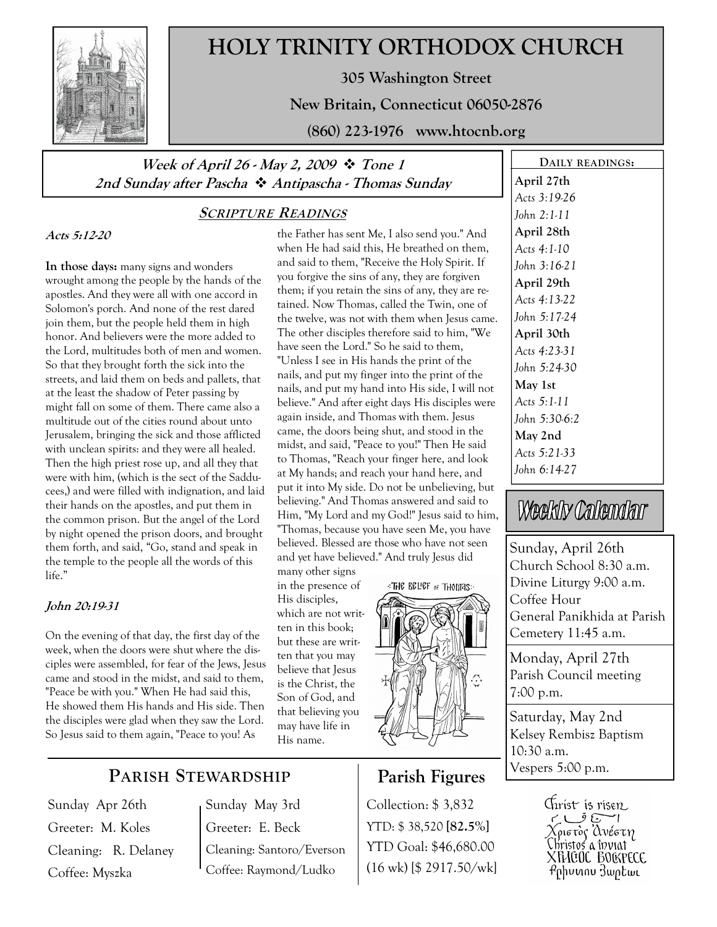

# HOLY TRINITY ORTHODOX CHURCH

305 Washington Street

New Britain, Connecticut 06050-2876

(860) 223-1976 www.htocnb.org

### Week of April 26 - May 2, 2009  $\div$  Tone 1 2nd Sunday after Pascha  $\cdot$  Antipascha - Thomas Sunday

### SCRIPTURE READINGS

Acts 5:12-20

In those days: many signs and wonders wrought among the people by the hands of the apostles. And they were all with one accord in Solomon's porch. And none of the rest dared join them, but the people held them in high honor. And believers were the more added to the Lord, multitudes both of men and women. So that they brought forth the sick into the streets, and laid them on beds and pallets, that at the least the shadow of Peter passing by might fall on some of them. There came also a multitude out of the cities round about unto Jerusalem, bringing the sick and those afflicted with unclean spirits: and they were all healed. Then the high priest rose up, and all they that were with him, (which is the sect of the Sadducees,) and were filled with indignation, and laid their hands on the apostles, and put them in the common prison. But the angel of the Lord by night opened the prison doors, and brought them forth, and said, "Go, stand and speak in the temple to the people all the words of this life."

#### John 20:19-31

On the evening of that day, the first day of the week, when the doors were shut where the disciples were assembled, for fear of the Jews, Jesus came and stood in the midst, and said to them, "Peace be with you." When He had said this, He showed them His hands and His side. Then the disciples were glad when they saw the Lord. So Jesus said to them again, "Peace to you! As

the Father has sent Me, I also send you." And when He had said this, He breathed on them, and said to them, "Receive the Holy Spirit. If you forgive the sins of any, they are forgiven them; if you retain the sins of any, they are retained. Now Thomas, called the Twin, one of the twelve, was not with them when Jesus came. The other disciples therefore said to him, "We have seen the Lord." So he said to them, "Unless I see in His hands the print of the nails, and put my finger into the print of the nails, and put my hand into His side, I will not believe." And after eight days His disciples were again inside, and Thomas with them. Jesus came, the doors being shut, and stood in the midst, and said, "Peace to you!" Then He said to Thomas, "Reach your finger here, and look at My hands; and reach your hand here, and put it into My side. Do not be unbelieving, but believing." And Thomas answered and said to Him, "My Lord and my God!" Jesus said to him, "Thomas, because you have seen Me, you have believed. Blessed are those who have not seen and yet have believed." And truly Jesus did

many other signs in the presence of His disciples, which are not written in this book; but these are written that you may believe that Jesus is the Christ, the Son of God, and that believing you may have life in His name.

THE BELIEF of THOMAS:



## Parish Figures

Collection: \$ 3,832 YTD: \$ 38,520 [82.5%] YTD Goal: \$46,680.00 (16 wk) [\$ 2917.50/wk]

DAILY READINGS: April 27th Acts 3:19-26 John 2:1-11 April 28th Acts 4:1-10 John 3:16-21 April 29th Acts 4:13-22 John 5:17-24 April 30th Acts 4:23-31 John 5:24-30 May 1st Acts 5:1-11 John 5:30-6:2 May 2nd Acts 5:21-33 John 6:14-27

Weekly Calendar

Sunday, April 26th Church School 8:30 a.m. Divine Liturgy 9:00 a.m. Coffee Hour General Panikhida at Parish Cemetery 11:45 a.m.

Monday, April 27th Parish Council meeting 7:00 p.m.

Saturday, May 2nd Kelsey Rembisz Baptism 10:30 a.m. Vespers 5:00 p.m.



# PARISH STEWARDSHIP

Sunday Apr 26th Greeter: M. Koles Cleaning: R. Delaney Coffee: Myszka

Sunday May 3rd Greeter: E. Beck Cleaning: Santoro/Everson Coffee: Raymond/Ludko